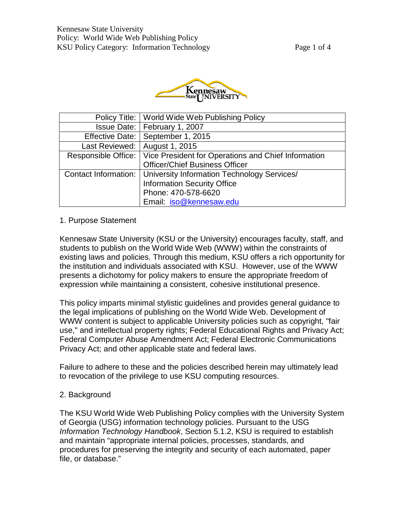

|                                 | Policy Title:   World Wide Web Publishing Policy                   |
|---------------------------------|--------------------------------------------------------------------|
|                                 | Issue Date:   February 1, 2007                                     |
|                                 | Effective Date:   September 1, 2015                                |
| Last Reviewed:   August 1, 2015 |                                                                    |
| Responsible Office:             | Vice President for Operations and Chief Information                |
|                                 | <b>Officer/Chief Business Officer</b>                              |
|                                 | Contact Information:   University Information Technology Services/ |
|                                 | <b>Information Security Office</b>                                 |
|                                 | Phone: 470-578-6620                                                |
|                                 | Email: iso@kennesaw.edu                                            |

# 1. Purpose Statement

Kennesaw State University (KSU or the University) encourages faculty, staff, and students to publish on the World Wide Web (WWW) within the constraints of existing laws and policies. Through this medium, KSU offers a rich opportunity for the institution and individuals associated with KSU. However, use of the WWW presents a dichotomy for policy makers to ensure the appropriate freedom of expression while maintaining a consistent, cohesive institutional presence.

This policy imparts minimal stylistic guidelines and provides general guidance to the legal implications of publishing on the World Wide Web. Development of WWW content is subject to applicable University policies such as copyright, "fair use," and intellectual property rights; Federal Educational Rights and Privacy Act; Federal Computer Abuse Amendment Act; Federal Electronic Communications Privacy Act; and other applicable state and federal laws.

Failure to adhere to these and the policies described herein may ultimately lead to revocation of the privilege to use KSU computing resources.

# 2. Background

The KSU World Wide Web Publishing Policy complies with the University System of Georgia (USG) information technology policies. Pursuant to the USG *Information Technology Handbook*, Section 5.1.2, KSU is required to establish and maintain "appropriate internal policies, processes, standards, and procedures for preserving the integrity and security of each automated, paper file, or database."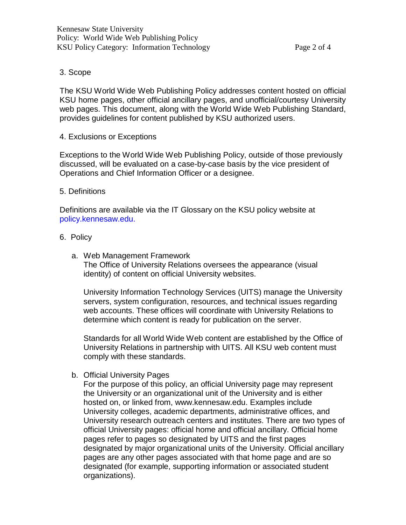### 3. Scope

The KSU World Wide Web Publishing Policy addresses content hosted on official KSU home pages, other official ancillary pages, and unofficial/courtesy University web pages. This document, along with the World Wide Web Publishing Standard, provides guidelines for content published by KSU authorized users.

4. Exclusions or Exceptions

Exceptions to the World Wide Web Publishing Policy, outside of those previously discussed, will be evaluated on a case-by-case basis by the vice president of Operations and Chief Information Officer or a designee.

### 5. Definitions

Definitions are available via the IT Glossary on the KSU policy website at [policy.kennesaw.edu.](https://policy.kennesaw.edu/)

### 6. Policy

a. Web Management Framework The Office of University Relations oversees the appearance (visual identity) of content on official University websites.

University Information Technology Services (UITS) manage the University servers, system configuration, resources, and technical issues regarding web accounts. These offices will coordinate with University Relations to determine which content is ready for publication on the server.

Standards for all World Wide Web content are established by the Office of University Relations in partnership with UITS. All KSU web content must comply with these standards.

b. Official University Pages

For the purpose of this policy, an official University page may represent the University or an organizational unit of the University and is either hosted on, or linked fro[m, www.kennesaw.edu. E](http://www.kennesaw.edu/)xamples include University colleges, academic departments, administrative offices, and University research outreach centers and institutes. There are two types of official University pages: official home and official ancillary. Official home pages refer to pages so designated by UITS and the first pages designated by major organizational units of the University. Official ancillary pages are any other pages associated with that home page and are so designated (for example, supporting information or associated student organizations).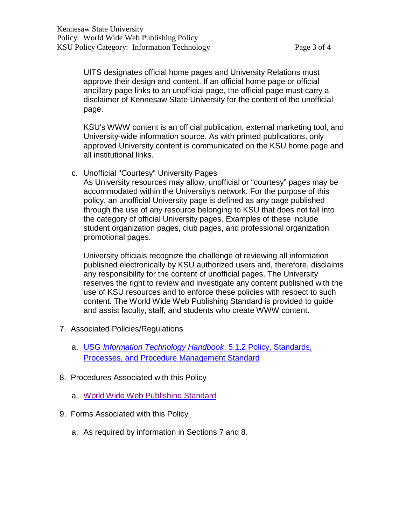UITS designates official home pages and University Relations must approve their design and content. If an official home page or official ancillary page links to an unofficial page, the official page must carry a disclaimer of Kennesaw State University for the content of the unofficial page.

KSU's WWW content is an official publication, external marketing tool, and University-wide information source. As with printed publications, only approved University content is communicated on the KSU home page and all institutional links.

c. Unofficial "Courtesy" University Pages

As University resources may allow, unofficial or "courtesy" pages may be accommodated within the University's network. For the purpose of this policy, an unofficial University page is defined as any page published through the use of any resource belonging to KSU that does not fall into the category of official University pages. Examples of these include student organization pages, club pages, and professional organization promotional pages.

University officials recognize the challenge of reviewing all information published electronically by KSU authorized users and, therefore, disclaims any responsibility for the content of unofficial pages. The University reserves the right to review and investigate any content published with the use of KSU resources and to enforce these policies with respect to such content. The World Wide Web Publishing Standard is provided to guide and assist faculty, staff, and students who create WWW content.

- 7. Associated Policies/Regulations
	- a. USG *[Information Technology](http://www.usg.edu/information_technology_handbook/section5/tech/5.1_usg_information_security_program) Handbook*, 5.1.2 Policy, Standards, Processes, and Procedure [Management](http://www.usg.edu/information_technology_handbook/section5/tech/5.1_usg_information_security_program) Standard
- 8. Procedures Associated with this Policy
	- a. World Wide Web [Publishing](http://uits.kennesaw.edu/infosec/directory.php) Standard
- 9. Forms Associated with this Policy
	- a. As required by information in Sections 7 and 8.